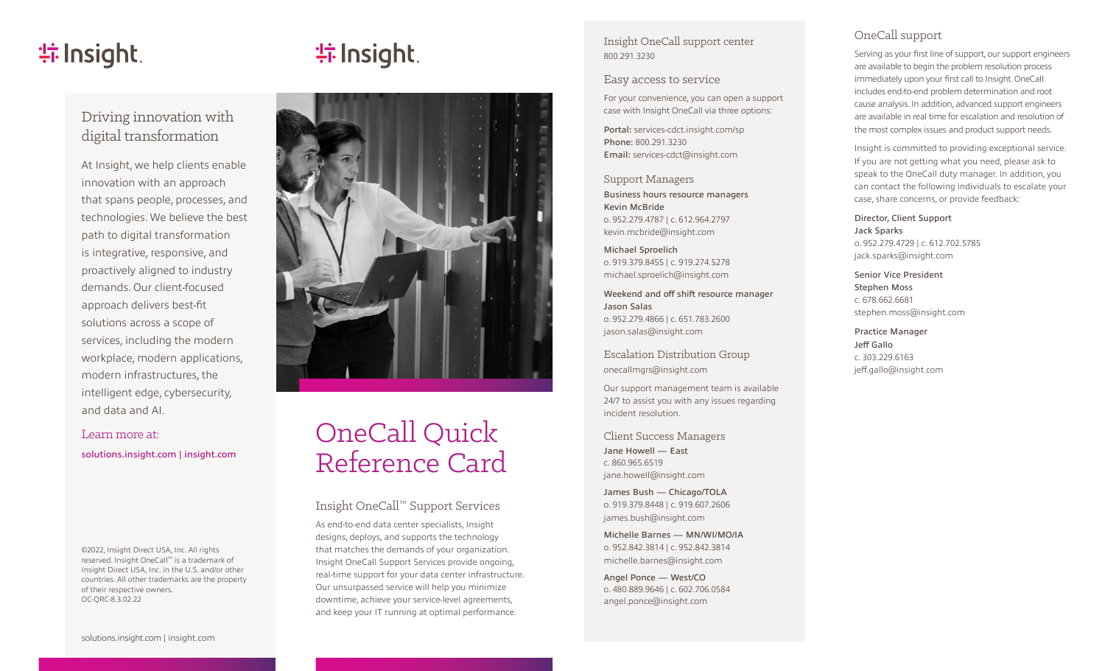# **特Insight**.

# **特lnsight**



At Insight, we help clients enable innovation with an approach that spans people, processes, and technologies. We believe the best path to digital transformation is integrative, responsive, and proactively aligned to industry demands. Our client-focused approach delivers best-fit solutions across a scope of services, including the modern workplace, modern applications, modern infrastructures, the intelligent edge, cybersecurity, and data and AI.

#### Learn more at:

[solutions.insight.com](https://solutions.insight.com/) | [insight.com](https://www.insight.com/en_US/home.html)

©2022, Insight Direct USA, Inc. All rights reserved. Insight OneCall ™ is a trademark of Insight Direct USA, Inc. in the U.S. and/or other countries. All other trademarks are the property of their respective owners. OC-QRC-8.3.02.22



# OneCall Quick Reference Card

### Insight OneCall ™ Support Services

As end-to-end data center specialists, Insight designs, deploys, and supports the technology that matches the demands of your organization. Insight OneCall Support Services provide ongoing, real-time support for your data center infrastructure. Our unsurpassed service will help you minimize downtime, achieve your service-level agreements, and keep your IT running at optimal performance.

Insight OneCall support center 800.291.3230

#### Easy access to service

For your convenience, you can open a support case with Insight OneCall via three options:

Portal: [services-cdct.insight.com/sp](https://services-cdct.insight.com/sp) Phone: 800.291.3230 Email: [services-cdct@insight.com](mailto: services-cdct@insight.com)

Support Managers Business hours resource managers Kevin McBride o. 952.279.4787 | c. 612.964.2797 [kevin.mcbride@insight.com](mailto: kevin.mcbride@insight.com)

Michael Sproelich o. 919.379.8455 | c. 919.274.5278 [michael.sproelich@insight.com](mailto: michael.sproelich@insight.com)

Weekend and off shift resource manager Jason Salas o. 952.279.4866 | c. 651.783.2600 [jason.salas@insight.com](mailto: jason.salas@insight.com)

Escalation Distribution Group [onecallmgrs@insight.com](mailto: onecallmgrs@insight.com)

Our support management team is available 24/7 to assist you with any issues regarding incident resolution.

Client Success Managers Jane Howell — East c. 860.965.6519 [jane.howell@insight.com](mailto: jane.howell@insight.com)

James Bush — Chicago/TOLA o. 919.379.8448 | c. 919.607.2606 [james.bush@insight.com](mailto: james.bush@insight.com)

Michelle Barnes — MN/WI/MO/IA o. 952.842.3814 | c. 952.842.3814 [michelle.barnes@insight.com](mailto: michelle.barnes@insight.com)

Angel Ponce — West/CO o. 480.889.9646 | c. 602.706.0584 [angel.ponce@insight.com](mailto: angel.ponce@insight.com)

# OneCall support

Serving as your first line of support, our support engineers are available to begin the problem resolution process immediately upon your first call to Insight. OneCall includes end-to-end problem determination and root cause analysis. In addition, advanced support engineers are available in real time for escalation and resolution of the most complex issues and product support needs.

Insight is committed to providing exceptional service. If you are not getting what you need, please ask to speak to the OneCall duty manager. In addition, you can contact the following individuals to escalate your case, share concerns, or provide feedback:

Director, Client Support Jack Sparks o. 952.279.4729 | c. 612.702.5785 [jack.sparks@insight.com](mailto: jack.sparks@insight.com)

Senior Vice President Stephen Moss c. 678.662.6681 [stephen.moss@insight.com](mailto: stephen.moss@insight.com)

Practice Manager Jeff Gallo c. 303.229.6163 [jeff.gallo@insight.com](mailto: jeff.gallo@insight.com)